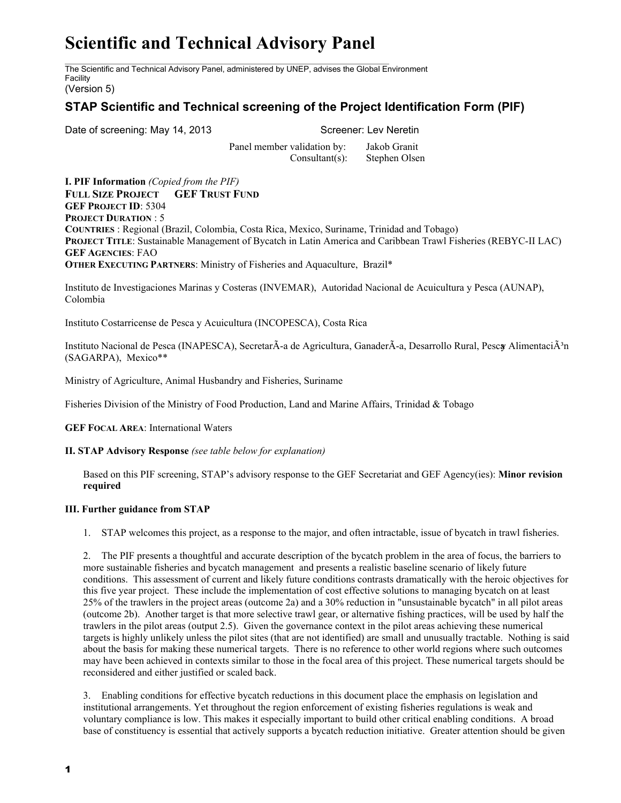# **Scientific and Technical Advisory Panel**

The Scientific and Technical Advisory Panel, administered by UNEP, advises the Global Environment Facility

## (Version 5)

# **STAP Scientific and Technical screening of the Project Identification Form (PIF)**

Date of screening: May 14, 2013 Screener: Lev Neretin

Panel member validation by: Jakob Granit Consultant(s): Stephen Olsen

**I. PIF Information** *(Copied from the PIF)* **FULL SIZE PROJECT GEF TRUST FUND GEF PROJECT ID**: 5304 **PROJECT DURATION** : 5 **COUNTRIES** : Regional (Brazil, Colombia, Costa Rica, Mexico, Suriname, Trinidad and Tobago) **PROJECT TITLE**: Sustainable Management of Bycatch in Latin America and Caribbean Trawl Fisheries (REBYCII LAC) **GEF AGENCIES**: FAO **OTHER EXECUTING PARTNERS**: Ministry of Fisheries and Aquaculture, Brazil\*

Instituto de Investigaciones Marinas y Costeras (INVEMAR), Autoridad Nacional de Acuicultura y Pesca (AUNAP), Colombia

Instituto Costarricense de Pesca y Acuicultura (INCOPESCA), Costa Rica

Instituto Nacional de Pesca (INAPESCA), SecretarÃ-a de Agricultura, GanaderÃ-a, Desarrollo Rural, Pescay AlimentaciÃ<sup>3</sup>n (SAGARPA), Mexico\*\*

Ministry of Agriculture, Animal Husbandry and Fisheries, Suriname

Fisheries Division of the Ministry of Food Production, Land and Marine Affairs, Trinidad & Tobago

**GEF FOCAL AREA**: International Waters

**II. STAP Advisory Response** *(see table below for explanation)*

Based on this PIF screening, STAP's advisory response to the GEF Secretariat and GEF Agency(ies): **Minor revision required**

### **III. Further guidance from STAP**

1. STAP welcomes this project, as a response to the major, and often intractable, issue of bycatch in trawl fisheries.

2. The PIF presents a thoughtful and accurate description of the bycatch problem in the area of focus, the barriers to more sustainable fisheries and bycatch management and presents a realistic baseline scenario of likely future conditions. This assessment of current and likely future conditions contrasts dramatically with the heroic objectives for this five year project. These include the implementation of cost effective solutions to managing bycatch on at least 25% of the trawlers in the project areas (outcome 2a) and a 30% reduction in "unsustainable bycatch" in all pilot areas (outcome 2b). Another target is that more selective trawl gear, or alternative fishing practices, will be used by half the trawlers in the pilot areas (output 2.5). Given the governance context in the pilot areas achieving these numerical targets is highly unlikely unless the pilot sites (that are not identified) are small and unusually tractable. Nothing is said about the basis for making these numerical targets. There is no reference to other world regions where such outcomes may have been achieved in contexts similar to those in the focal area of this project. These numerical targets should be reconsidered and either justified or scaled back.

3. Enabling conditions for effective bycatch reductions in this document place the emphasis on legislation and institutional arrangements. Yet throughout the region enforcement of existing fisheries regulations is weak and voluntary compliance is low. This makes it especially important to build other critical enabling conditions. A broad base of constituency is essential that actively supports a bycatch reduction initiative. Greater attention should be given